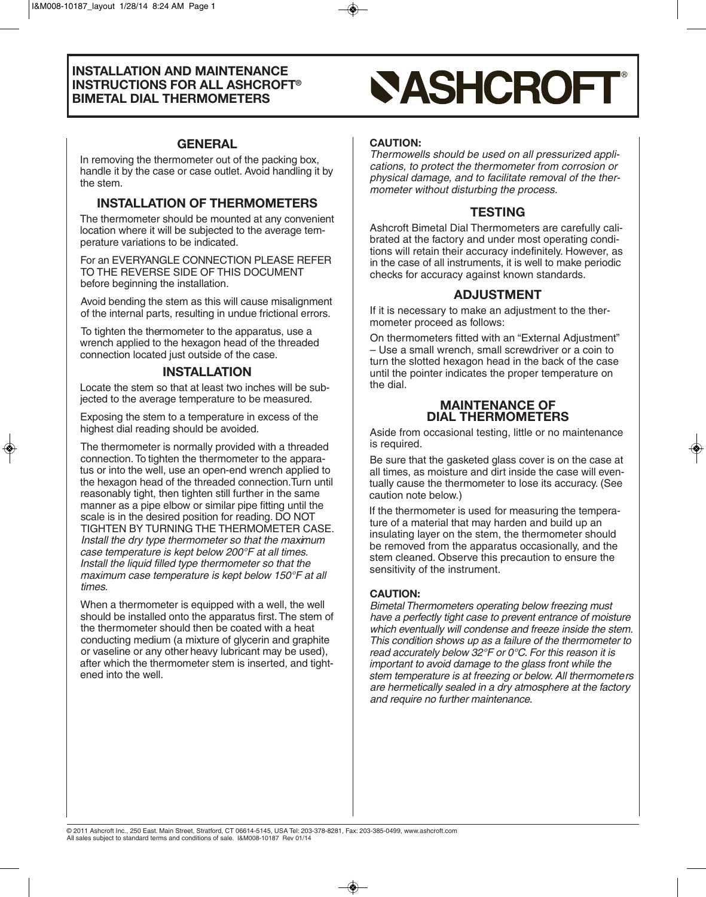# **GENERAL**

In removing the thermometer out of the packing box, handle it by the case or case outlet. Avoid handling it by the stem.

# **INSTALLATION OF THERMOMETERS**

The thermometer should be mounted at any convenient location where it will be subjected to the average temperature variations to be indicated.

For an EVERYANGLE CONNECTION PLEASE REFER TO THE REVERSE SIDE OF THIS DOCUMENT before beginning the installation.

Avoid bending the stem as this will cause misalignment of the internal parts, resulting in undue frictional errors.

To tighten the thermometer to the apparatus, use a wrench applied to the hexagon head of the threaded connection located just outside of the case.

# **INSTALLATION**

Locate the stem so that at least two inches will be subjected to the average temperature to be measured.

Exposing the stem to a temperature in excess of the highest dial reading should be avoided.

The thermometer is normally provided with a threaded connection.To tighten the thermometer to the apparatus or into the well, use an open-end wrench applied to the hexagon head of the threaded connection.Turn until reasonably tight, then tighten still further in the same manner as a pipe elbow or similar pipe fitting until the scale is in the desired position for reading. DO NOT TIGHTEN BY TURNING THE THERMOMETER CASE. Install the dry type thermometer so that the maximum case temperature is kept below 200°F at all times. Install the liquid filled type thermometer so that the maximum case temperature is kept below 150°F at all times.

When a thermometer is equipped with a well, the well should be installed onto the apparatus first.The stem of the thermometer should then be coated with a heat conducting medium (a mixture of glycerin and graphite or vaseline or any other heavy lubricant may be used), after which the thermometer stem is inserted, and tightened into the well.

# **SASHCROFT**

#### **CAUTION:**

Thermowells should be used on all pressurized applications, to protect the thermometer from corrosion or physical damage, and to facilitate removal of the thermometer without disturbing the process.

# **TESTING**

Ashcroft Bimetal Dial Thermometers are carefully calibrated at the factory and under most operating conditions will retain their accuracy indefinitely. However, as in the case of all instruments, it is well to make periodic checks for accuracy against known standards.

# **ADJUSTMENT**

If it is necessary to make an adjustment to the thermometer proceed as follows:

On thermometers fitted with an "External Adjustment" – Use a small wrench, small screwdriver or a coin to turn the slotted hexagon head in the back of the case until the pointer indicates the proper temperature on the dial.

#### **MAINTENANCE OF DIAL THERMOMETERS**

Aside from occasional testing, little or no maintenance is required.

Be sure that the gasketed glass cover is on the case at all times, as moisture and dirt inside the case will eventually cause the thermometer to lose its accuracy. (See caution note below.)

If the thermometer is used for measuring the temperature of a material that may harden and build up an insulating layer on the stem, the thermometer should be removed from the apparatus occasionally, and the stem cleaned. Observe this precaution to ensure the sensitivity of the instrument.

### **CAUTION:**

Bimetal Thermometers operating below freezing must have a perfectly tight case to prevent entrance of moisture which eventually will condense and freeze inside the stem. This condition shows up as a failure of the thermometer to read accurately below 32°F or 0°C. For this reason it is important to avoid damage to the glass front while the stem temperature is at freezing or below. All thermometers are hermetically sealed in a dry atmosphere at the factory and require no further maintenance.